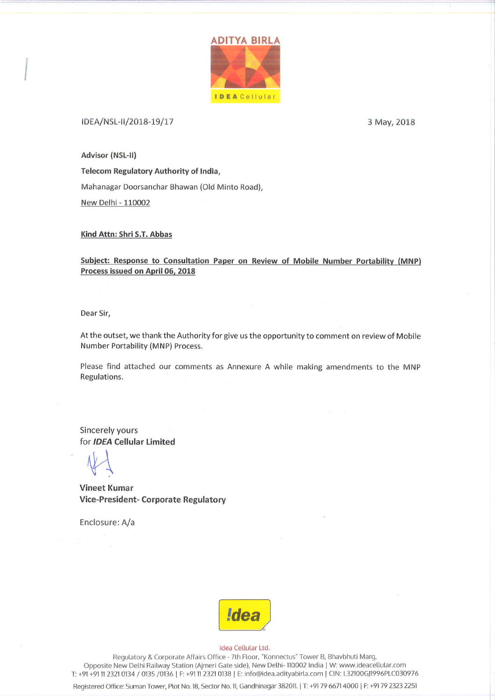

#### IDEA/NSL-II/2018-19/17

3 May, 2018

Advisor (NSL-II)

Telecom Regulatory Authority of India, Mahanagar Doorsanchar Bhawan (Old Minto Road), New Delhi - 110002

#### Kind Attn: Shri S.T. Abbas

Subject: Response to Consultation Paper on Review of Mobile Number Portability (MNP) Process issued on April 06, 2018

Dear Sir,

At the outset, we thank the Authority for give us the opportunity to comment on review of Mobile Number Portability (MNP) Process.

Please find attached our comments as Annexure A while making amendments to the MNP Regulations.

Sincerely yours for **IDEA** Cellular Limited

**Vineet Kumar Vice-President- Corporate Regulatory** 

Enclosure: A/a



#### Idea Cellular Ltd.

Regulatory & Corporate Affairs Office - 7th Floor, "Konnectus" Tower B, Bhavbhuti Marg, Opposite New Delhi Railway Station (Ajmeri Gate side), New Delhi-110002 India | W: www.ideacellular.com T: +91 +91 11 2321 0134 / 0135 /0136 | F: +91 11 2321 0138 | E: info@idea.adityabirla.com | CIN: L32100GJ1996PLC030976

Registered Office: Suman Tower, Plot No. 18, Sector No. 11, Gandhinagar 382011. | T: +91 79 6671 4000 | F: +91 79 2323 2251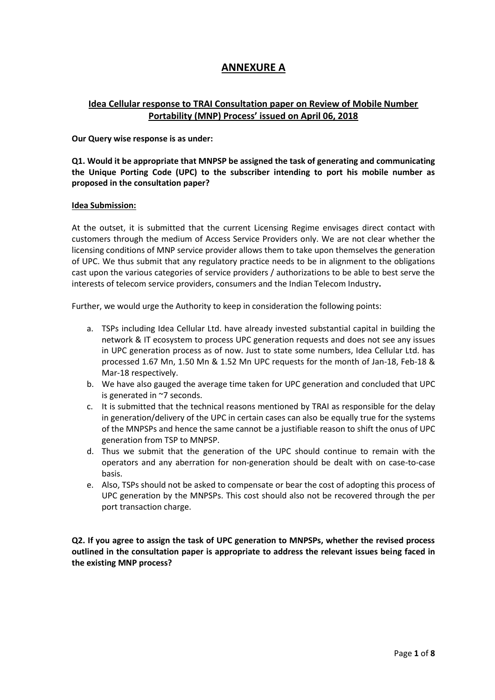# **ANNEXURE A**

## **Idea Cellular response to TRAI Consultation paper on Review of Mobile Number Portability (MNP) Process' issued on April 06, 2018**

**Our Query wise response is as under:**

**Q1. Would it be appropriate that MNPSP be assigned the task of generating and communicating the Unique Porting Code (UPC) to the subscriber intending to port his mobile number as proposed in the consultation paper?**

#### **Idea Submission:**

At the outset, it is submitted that the current Licensing Regime envisages direct contact with customers through the medium of Access Service Providers only. We are not clear whether the licensing conditions of MNP service provider allows them to take upon themselves the generation of UPC. We thus submit that any regulatory practice needs to be in alignment to the obligations cast upon the various categories of service providers / authorizations to be able to best serve the interests of telecom service providers, consumers and the Indian Telecom Industry**.** 

Further, we would urge the Authority to keep in consideration the following points:

- a. TSPs including Idea Cellular Ltd. have already invested substantial capital in building the network & IT ecosystem to process UPC generation requests and does not see any issues in UPC generation process as of now. Just to state some numbers, Idea Cellular Ltd. has processed 1.67 Mn, 1.50 Mn & 1.52 Mn UPC requests for the month of Jan-18, Feb-18 & Mar-18 respectively.
- b. We have also gauged the average time taken for UPC generation and concluded that UPC is generated in ~7 seconds.
- c. It is submitted that the technical reasons mentioned by TRAI as responsible for the delay in generation/delivery of the UPC in certain cases can also be equally true for the systems of the MNPSPs and hence the same cannot be a justifiable reason to shift the onus of UPC generation from TSP to MNPSP.
- d. Thus we submit that the generation of the UPC should continue to remain with the operators and any aberration for non-generation should be dealt with on case-to-case basis.
- e. Also, TSPs should not be asked to compensate or bear the cost of adopting this process of UPC generation by the MNPSPs. This cost should also not be recovered through the per port transaction charge.

**Q2. If you agree to assign the task of UPC generation to MNPSPs, whether the revised process outlined in the consultation paper is appropriate to address the relevant issues being faced in the existing MNP process?**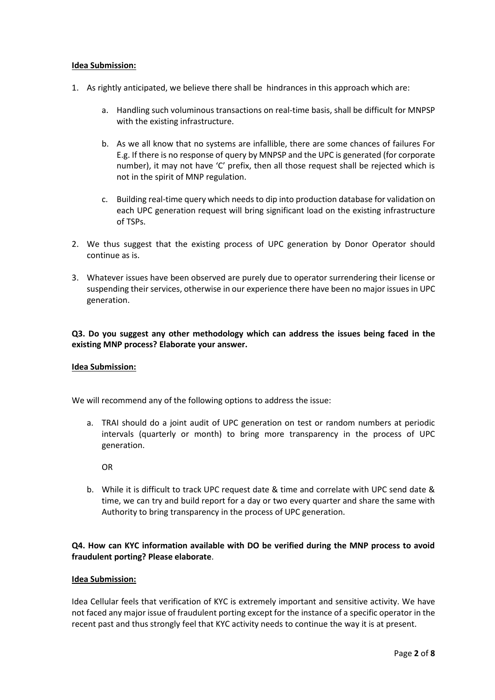#### **Idea Submission:**

- 1. As rightly anticipated, we believe there shall be hindrances in this approach which are:
	- a. Handling such voluminous transactions on real-time basis, shall be difficult for MNPSP with the existing infrastructure.
	- b. As we all know that no systems are infallible, there are some chances of failures For E.g. If there is no response of query by MNPSP and the UPC is generated (for corporate number), it may not have 'C' prefix, then all those request shall be rejected which is not in the spirit of MNP regulation.
	- c. Building real-time query which needs to dip into production database for validation on each UPC generation request will bring significant load on the existing infrastructure of TSPs.
- 2. We thus suggest that the existing process of UPC generation by Donor Operator should continue as is.
- 3. Whatever issues have been observed are purely due to operator surrendering their license or suspending their services, otherwise in our experience there have been no major issues in UPC generation.

### **Q3. Do you suggest any other methodology which can address the issues being faced in the existing MNP process? Elaborate your answer.**

#### **Idea Submission:**

We will recommend any of the following options to address the issue:

a. TRAI should do a joint audit of UPC generation on test or random numbers at periodic intervals (quarterly or month) to bring more transparency in the process of UPC generation.

OR

b. While it is difficult to track UPC request date & time and correlate with UPC send date & time, we can try and build report for a day or two every quarter and share the same with Authority to bring transparency in the process of UPC generation.

### **Q4. How can KYC information available with DO be verified during the MNP process to avoid fraudulent porting? Please elaborate**.

#### **Idea Submission:**

Idea Cellular feels that verification of KYC is extremely important and sensitive activity. We have not faced any major issue of fraudulent porting except for the instance of a specific operator in the recent past and thus strongly feel that KYC activity needs to continue the way it is at present.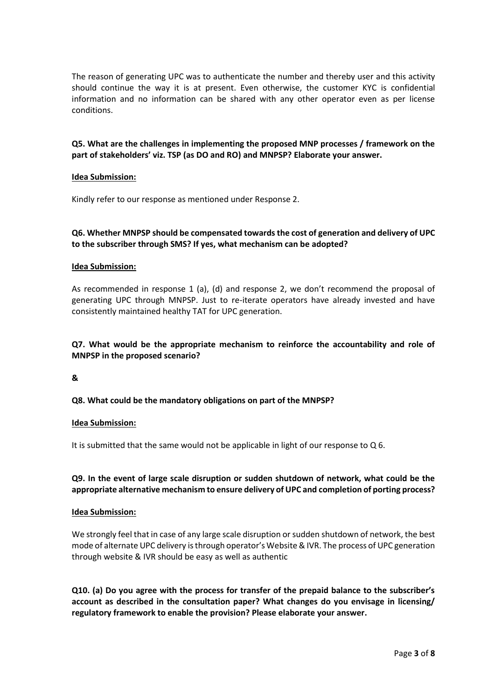The reason of generating UPC was to authenticate the number and thereby user and this activity should continue the way it is at present. Even otherwise, the customer KYC is confidential information and no information can be shared with any other operator even as per license conditions.

### **Q5. What are the challenges in implementing the proposed MNP processes / framework on the part of stakeholders' viz. TSP (as DO and RO) and MNPSP? Elaborate your answer.**

#### **Idea Submission:**

Kindly refer to our response as mentioned under Response 2.

### **Q6. Whether MNPSP should be compensated towards the cost of generation and delivery of UPC to the subscriber through SMS? If yes, what mechanism can be adopted?**

#### **Idea Submission:**

As recommended in response 1 (a), (d) and response 2, we don't recommend the proposal of generating UPC through MNPSP. Just to re-iterate operators have already invested and have consistently maintained healthy TAT for UPC generation.

### **Q7. What would be the appropriate mechanism to reinforce the accountability and role of MNPSP in the proposed scenario?**

#### **&**

#### **Q8. What could be the mandatory obligations on part of the MNPSP?**

#### **Idea Submission:**

It is submitted that the same would not be applicable in light of our response to Q 6.

**Q9. In the event of large scale disruption or sudden shutdown of network, what could be the appropriate alternative mechanism to ensure delivery of UPC and completion of porting process?**

#### **Idea Submission:**

We strongly feel that in case of any large scale disruption or sudden shutdown of network, the best mode of alternate UPC delivery is through operator's Website & IVR. The process of UPC generation through website & IVR should be easy as well as authentic

**Q10. (a) Do you agree with the process for transfer of the prepaid balance to the subscriber's account as described in the consultation paper? What changes do you envisage in licensing/ regulatory framework to enable the provision? Please elaborate your answer.**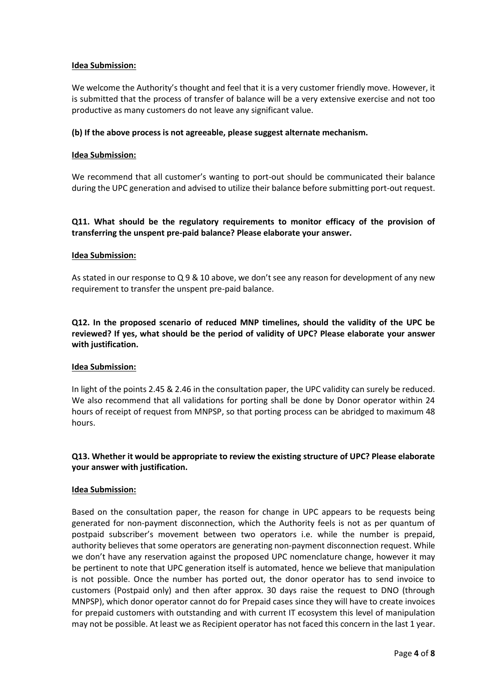#### **Idea Submission:**

We welcome the Authority's thought and feel that it is a very customer friendly move. However, it is submitted that the process of transfer of balance will be a very extensive exercise and not too productive as many customers do not leave any significant value.

#### **(b) If the above process is not agreeable, please suggest alternate mechanism.**

#### **Idea Submission:**

We recommend that all customer's wanting to port-out should be communicated their balance during the UPC generation and advised to utilize their balance before submitting port-out request.

### **Q11. What should be the regulatory requirements to monitor efficacy of the provision of transferring the unspent pre-paid balance? Please elaborate your answer.**

#### **Idea Submission:**

As stated in our response to Q 9 & 10 above, we don't see any reason for development of any new requirement to transfer the unspent pre-paid balance.

**Q12. In the proposed scenario of reduced MNP timelines, should the validity of the UPC be reviewed? If yes, what should be the period of validity of UPC? Please elaborate your answer with justification.**

#### **Idea Submission:**

In light of the points 2.45 & 2.46 in the consultation paper, the UPC validity can surely be reduced. We also recommend that all validations for porting shall be done by Donor operator within 24 hours of receipt of request from MNPSP, so that porting process can be abridged to maximum 48 hours.

### **Q13. Whether it would be appropriate to review the existing structure of UPC? Please elaborate your answer with justification.**

#### **Idea Submission:**

Based on the consultation paper, the reason for change in UPC appears to be requests being generated for non-payment disconnection, which the Authority feels is not as per quantum of postpaid subscriber's movement between two operators i.e. while the number is prepaid, authority believes that some operators are generating non-payment disconnection request. While we don't have any reservation against the proposed UPC nomenclature change, however it may be pertinent to note that UPC generation itself is automated, hence we believe that manipulation is not possible. Once the number has ported out, the donor operator has to send invoice to customers (Postpaid only) and then after approx. 30 days raise the request to DNO (through MNPSP), which donor operator cannot do for Prepaid cases since they will have to create invoices for prepaid customers with outstanding and with current IT ecosystem this level of manipulation may not be possible. At least we as Recipient operator has not faced this concern in the last 1 year.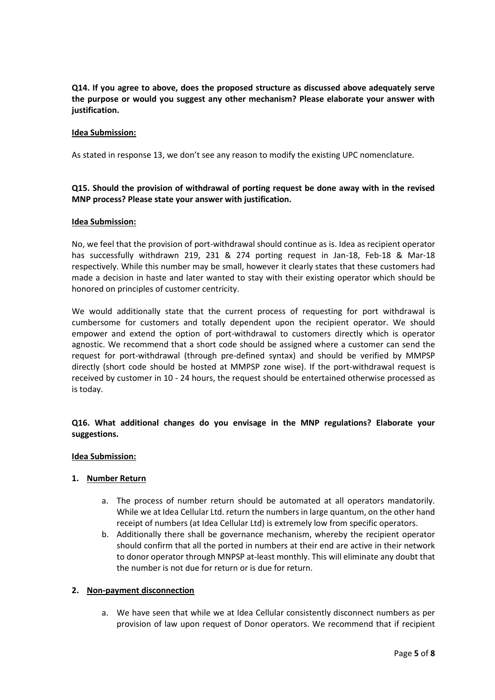**Q14. If you agree to above, does the proposed structure as discussed above adequately serve the purpose or would you suggest any other mechanism? Please elaborate your answer with justification.**

#### **Idea Submission:**

As stated in response 13, we don't see any reason to modify the existing UPC nomenclature.

### **Q15. Should the provision of withdrawal of porting request be done away with in the revised MNP process? Please state your answer with justification.**

#### **Idea Submission:**

No, we feel that the provision of port-withdrawal should continue as is. Idea as recipient operator has successfully withdrawn 219, 231 & 274 porting request in Jan-18, Feb-18 & Mar-18 respectively. While this number may be small, however it clearly states that these customers had made a decision in haste and later wanted to stay with their existing operator which should be honored on principles of customer centricity.

We would additionally state that the current process of requesting for port withdrawal is cumbersome for customers and totally dependent upon the recipient operator. We should empower and extend the option of port-withdrawal to customers directly which is operator agnostic. We recommend that a short code should be assigned where a customer can send the request for port-withdrawal (through pre-defined syntax) and should be verified by MMPSP directly (short code should be hosted at MMPSP zone wise). If the port-withdrawal request is received by customer in 10 - 24 hours, the request should be entertained otherwise processed as is today.

### **Q16. What additional changes do you envisage in the MNP regulations? Elaborate your suggestions.**

#### **Idea Submission:**

#### **1. Number Return**

- a. The process of number return should be automated at all operators mandatorily. While we at Idea Cellular Ltd. return the numbers in large quantum, on the other hand receipt of numbers (at Idea Cellular Ltd) is extremely low from specific operators.
- b. Additionally there shall be governance mechanism, whereby the recipient operator should confirm that all the ported in numbers at their end are active in their network to donor operator through MNPSP at-least monthly. This will eliminate any doubt that the number is not due for return or is due for return.

#### **2. Non-payment disconnection**

a. We have seen that while we at Idea Cellular consistently disconnect numbers as per provision of law upon request of Donor operators. We recommend that if recipient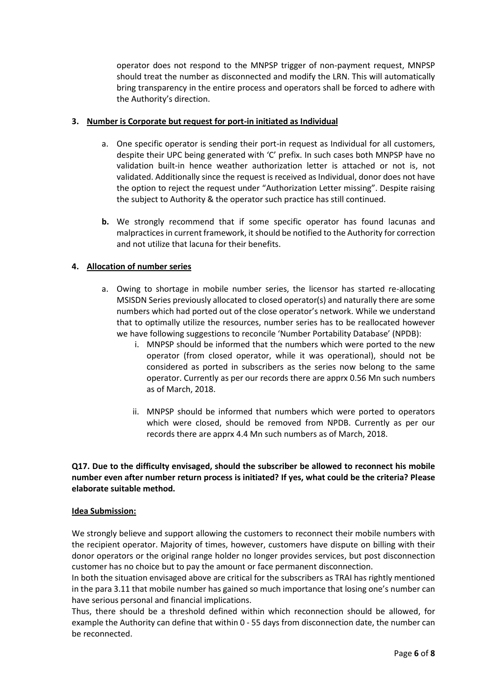operator does not respond to the MNPSP trigger of non-payment request, MNPSP should treat the number as disconnected and modify the LRN. This will automatically bring transparency in the entire process and operators shall be forced to adhere with the Authority's direction.

### **3. Number is Corporate but request for port-in initiated as Individual**

- a. One specific operator is sending their port-in request as Individual for all customers, despite their UPC being generated with 'C' prefix. In such cases both MNPSP have no validation built-in hence weather authorization letter is attached or not is, not validated. Additionally since the request is received as Individual, donor does not have the option to reject the request under "Authorization Letter missing". Despite raising the subject to Authority & the operator such practice has still continued.
- **b.** We strongly recommend that if some specific operator has found lacunas and malpracticesin current framework, it should be notified to the Authority for correction and not utilize that lacuna for their benefits.

### **4. Allocation of number series**

- a. Owing to shortage in mobile number series, the licensor has started re-allocating MSISDN Series previously allocated to closed operator(s) and naturally there are some numbers which had ported out of the close operator's network. While we understand that to optimally utilize the resources, number series has to be reallocated however we have following suggestions to reconcile 'Number Portability Database' (NPDB):
	- i. MNPSP should be informed that the numbers which were ported to the new operator (from closed operator, while it was operational), should not be considered as ported in subscribers as the series now belong to the same operator. Currently as per our records there are apprx 0.56 Mn such numbers as of March, 2018.
	- ii. MNPSP should be informed that numbers which were ported to operators which were closed, should be removed from NPDB. Currently as per our records there are apprx 4.4 Mn such numbers as of March, 2018.

### **Q17. Due to the difficulty envisaged, should the subscriber be allowed to reconnect his mobile number even after number return process is initiated? If yes, what could be the criteria? Please elaborate suitable method.**

#### **Idea Submission:**

We strongly believe and support allowing the customers to reconnect their mobile numbers with the recipient operator. Majority of times, however, customers have dispute on billing with their donor operators or the original range holder no longer provides services, but post disconnection customer has no choice but to pay the amount or face permanent disconnection.

In both the situation envisaged above are critical for the subscribers as TRAI has rightly mentioned in the para 3.11 that mobile number has gained so much importance that losing one's number can have serious personal and financial implications.

Thus, there should be a threshold defined within which reconnection should be allowed, for example the Authority can define that within 0 - 55 days from disconnection date, the number can be reconnected.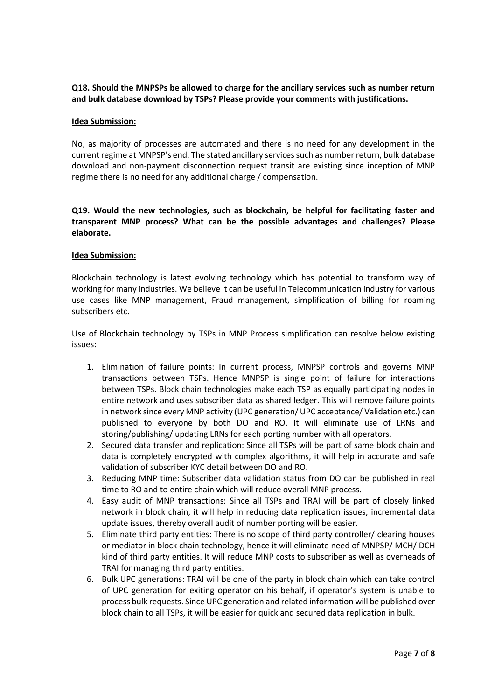### **Q18. Should the MNPSPs be allowed to charge for the ancillary services such as number return and bulk database download by TSPs? Please provide your comments with justifications.**

#### **Idea Submission:**

No, as majority of processes are automated and there is no need for any development in the current regime at MNPSP's end. The stated ancillary services such as number return, bulk database download and non-payment disconnection request transit are existing since inception of MNP regime there is no need for any additional charge / compensation.

**Q19. Would the new technologies, such as blockchain, be helpful for facilitating faster and transparent MNP process? What can be the possible advantages and challenges? Please elaborate.**

#### **Idea Submission:**

Blockchain technology is latest evolving technology which has potential to transform way of working for many industries. We believe it can be useful in Telecommunication industry for various use cases like MNP management, Fraud management, simplification of billing for roaming subscribers etc.

Use of Blockchain technology by TSPs in MNP Process simplification can resolve below existing issues:

- 1. Elimination of failure points: In current process, MNPSP controls and governs MNP transactions between TSPs. Hence MNPSP is single point of failure for interactions between TSPs. Block chain technologies make each TSP as equally participating nodes in entire network and uses subscriber data as shared ledger. This will remove failure points in network since every MNP activity (UPC generation/ UPC acceptance/ Validation etc.) can published to everyone by both DO and RO. It will eliminate use of LRNs and storing/publishing/ updating LRNs for each porting number with all operators.
- 2. Secured data transfer and replication: Since all TSPs will be part of same block chain and data is completely encrypted with complex algorithms, it will help in accurate and safe validation of subscriber KYC detail between DO and RO.
- 3. Reducing MNP time: Subscriber data validation status from DO can be published in real time to RO and to entire chain which will reduce overall MNP process.
- 4. Easy audit of MNP transactions: Since all TSPs and TRAI will be part of closely linked network in block chain, it will help in reducing data replication issues, incremental data update issues, thereby overall audit of number porting will be easier.
- 5. Eliminate third party entities: There is no scope of third party controller/ clearing houses or mediator in block chain technology, hence it will eliminate need of MNPSP/ MCH/ DCH kind of third party entities. It will reduce MNP costs to subscriber as well as overheads of TRAI for managing third party entities.
- 6. Bulk UPC generations: TRAI will be one of the party in block chain which can take control of UPC generation for exiting operator on his behalf, if operator's system is unable to process bulk requests. Since UPC generation and related information will be published over block chain to all TSPs, it will be easier for quick and secured data replication in bulk.